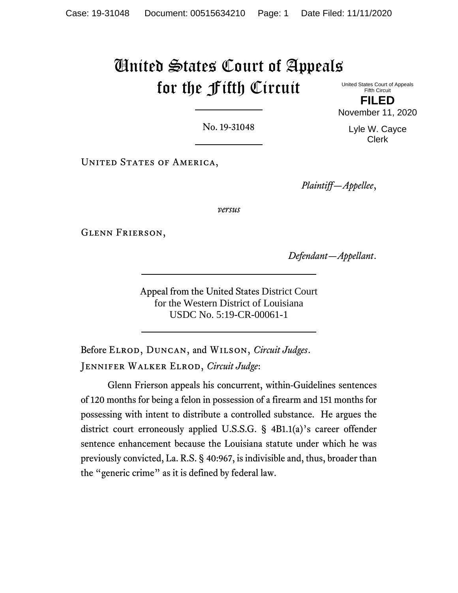# United States Court of Appeals for the Fifth Circuit United States Court of Appeals

Fifth Circuit **FILED** November 11, 2020

No. 19-31048

UNITED STATES OF AMERICA,

*Plaintiff—Appellee*,

*versus*

Glenn Frierson,

*Defendant—Appellant*.

Appeal from the United States District Court for the Western District of Louisiana USDC No. 5:19-CR-00061-1

Before Elrod, Duncan, and Wilson, *Circuit Judges*. Jennifer Walker Elrod, *Circuit Judge*:

Glenn Frierson appeals his concurrent, within-Guidelines sentences of 120 months for being a felon in possession of a firearm and 151 months for possessing with intent to distribute a controlled substance. He argues the district court erroneously applied U.S.S.G. § 4B1.1(a)'s career offender sentence enhancement because the Louisiana statute under which he was previously convicted, La. R.S. § 40:967, is indivisible and, thus, broader than the "generic crime" as it is defined by federal law.

Lyle W. Cayce Clerk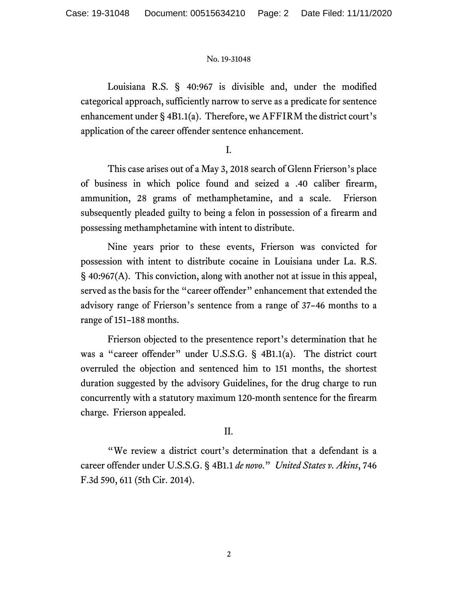Louisiana R.S. § 40:967 is divisible and, under the modified categorical approach, sufficiently narrow to serve as a predicate for sentence enhancement under § 4B1.1(a). Therefore, we AFFIRM the district court's application of the career offender sentence enhancement.

I.

This case arises out of a May 3, 2018 search of Glenn Frierson's place of business in which police found and seized a .40 caliber firearm, ammunition, 28 grams of methamphetamine, and a scale. Frierson subsequently pleaded guilty to being a felon in possession of a firearm and possessing methamphetamine with intent to distribute.

Nine years prior to these events, Frierson was convicted for possession with intent to distribute cocaine in Louisiana under La. R.S. § 40:967(A). This conviction, along with another not at issue in this appeal, served as the basis for the "career offender" enhancement that extended the advisory range of Frierson's sentence from a range of 37–46 months to a range of 151–188 months.

Frierson objected to the presentence report's determination that he was a "career offender" under U.S.S.G. § 4B1.1(a). The district court overruled the objection and sentenced him to 151 months, the shortest duration suggested by the advisory Guidelines, for the drug charge to run concurrently with a statutory maximum 120-month sentence for the firearm charge. Frierson appealed.

## II.

"We review a district court's determination that a defendant is a career offender under U.S.S.G. § 4B1.1 *de novo*." *United States v. Akins*, 746 F.3d 590, 611 (5th Cir. 2014).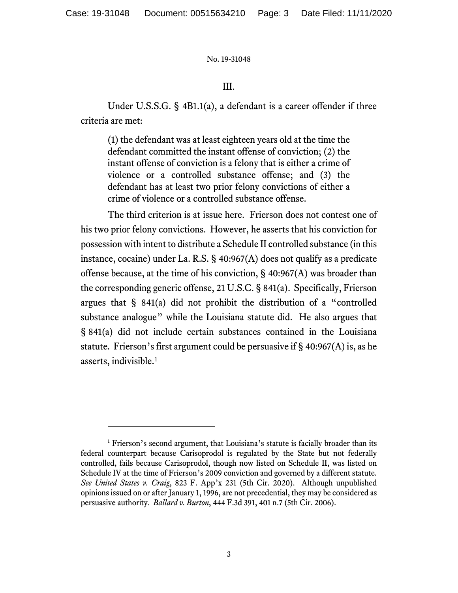## III.

Under U.S.S.G. § 4B1.1(a), a defendant is a career offender if three criteria are met:

(1) the defendant was at least eighteen years old at the time the defendant committed the instant offense of conviction; (2) the instant offense of conviction is a felony that is either a crime of violence or a controlled substance offense; and (3) the defendant has at least two prior felony convictions of either a crime of violence or a controlled substance offense.

The third criterion is at issue here. Frierson does not contest one of his two prior felony convictions. However, he asserts that his conviction for possession with intent to distribute a Schedule II controlled substance (in this instance, cocaine) under La. R.S. § 40:967(A) does not qualify as a predicate offense because, at the time of his conviction, § 40:967(A) was broader than the corresponding generic offense, 21 U.S.C. § 841(a). Specifically, Frierson argues that § 841(a) did not prohibit the distribution of a "controlled substance analogue" while the Louisiana statute did. He also argues that § 841(a) did not include certain substances contained in the Louisiana statute. Frierson's first argument could be persuasive if  $\S$  40:967(A) is, as he asserts, indivisible. [1](#page-2-0)

<span id="page-2-0"></span><sup>&</sup>lt;sup>1</sup> Frierson's second argument, that Louisiana's statute is facially broader than its federal counterpart because Carisoprodol is regulated by the State but not federally controlled, fails because Carisoprodol, though now listed on Schedule II, was listed on Schedule IV at the time of Frierson's 2009 conviction and governed by a different statute. *See United States v. Craig*, 823 F. App'x 231 (5th Cir. 2020). Although unpublished opinions issued on or after January 1, 1996, are not precedential, they may be considered as persuasive authority. *Ballard v. Burton*, 444 F.3d 391, 401 n.7 (5th Cir. 2006).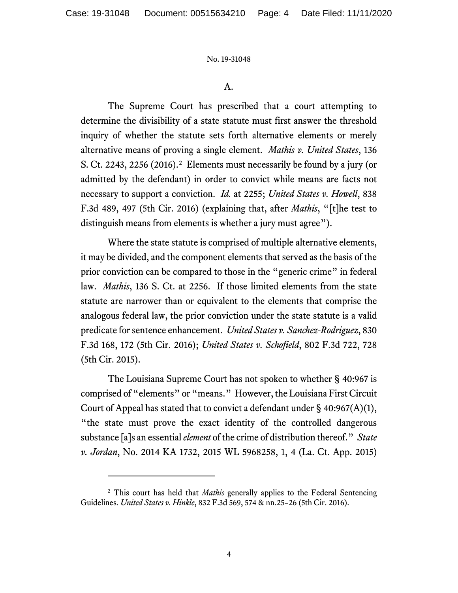### A.

The Supreme Court has prescribed that a court attempting to determine the divisibility of a state statute must first answer the threshold inquiry of whether the statute sets forth alternative elements or merely alternative means of proving a single element. *Mathis v. United States*, 136 S. Ct. 2243, 2256 (2016). [2](#page-3-0) Elements must necessarily be found by a jury (or admitted by the defendant) in order to convict while means are facts not necessary to support a conviction. *Id.* at 2255; *United States v. Howell*, 838 F.3d 489, 497 (5th Cir. 2016) (explaining that, after *Mathis*, "[t]he test to distinguish means from elements is whether a jury must agree").

Where the state statute is comprised of multiple alternative elements, it may be divided, and the component elements that served as the basis of the prior conviction can be compared to those in the "generic crime" in federal law. *Mathis*, 136 S. Ct. at 2256. If those limited elements from the state statute are narrower than or equivalent to the elements that comprise the analogous federal law, the prior conviction under the state statute is a valid predicate for sentence enhancement. *United States v. Sanchez-Rodriguez*, 830 F.3d 168, 172 (5th Cir. 2016); *United States v. Schofield*, 802 F.3d 722, 728 (5th Cir. 2015).

The Louisiana Supreme Court has not spoken to whether § 40:967 is comprised of "elements" or "means." However, the Louisiana First Circuit Court of Appeal has stated that to convict a defendant under  $\S$  40:967(A)(1), "the state must prove the exact identity of the controlled dangerous substance [a]s an essential *element* of the crime of distribution thereof." *State v. Jordan*, No. 2014 KA 1732, 2015 WL 5968258, 1, 4 (La. Ct. App. 2015)

<span id="page-3-0"></span><sup>2</sup> This court has held that *Mathis* generally applies to the Federal Sentencing Guidelines. *United States v. Hinkle*, 832 F.3d 569, 574 & nn.25–26 (5th Cir. 2016).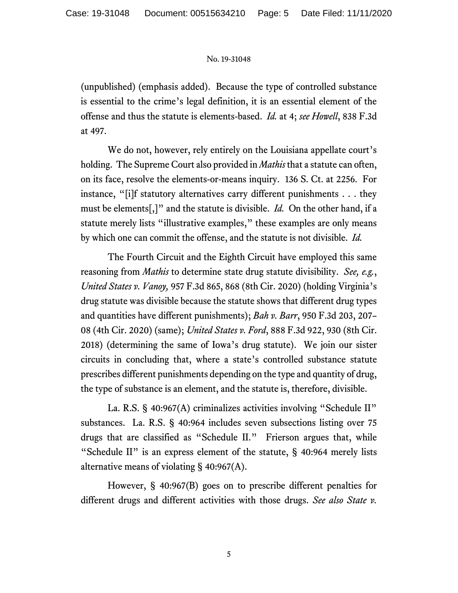(unpublished) (emphasis added). Because the type of controlled substance is essential to the crime's legal definition, it is an essential element of the offense and thus the statute is elements-based. *Id.* at 4; *see Howell*, 838 F.3d at 497.

We do not, however, rely entirely on the Louisiana appellate court's holding. The Supreme Court also provided in *Mathis* that a statute can often, on its face, resolve the elements-or-means inquiry. 136 S. Ct. at 2256. For instance, "[i]f statutory alternatives carry different punishments . . . they must be elements[,]" and the statute is divisible. *Id.* On the other hand, if a statute merely lists "illustrative examples," these examples are only means by which one can commit the offense, and the statute is not divisible. *Id.*

The Fourth Circuit and the Eighth Circuit have employed this same reasoning from *Mathis* to determine state drug statute divisibility. *See, e.g.*, *United States v. Vanoy,* 957 F.3d 865, 868 (8th Cir. 2020) (holding Virginia's drug statute was divisible because the statute shows that different drug types and quantities have different punishments); *Bah v. Barr*, 950 F.3d 203, 207– 08 (4th Cir. 2020) (same); *United States v. Ford*, 888 F.3d 922, 930 (8th Cir. 2018) (determining the same of Iowa's drug statute). We join our sister circuits in concluding that, where a state's controlled substance statute prescribes different punishments depending on the type and quantity of drug, the type of substance is an element, and the statute is, therefore, divisible.

La. R.S. § 40:967(A) criminalizes activities involving "Schedule II" substances. La. R.S. § 40:964 includes seven subsections listing over 75 drugs that are classified as "Schedule II." Frierson argues that, while "Schedule II" is an express element of the statute, § 40:964 merely lists alternative means of violating § 40:967(A).

However, § 40:967(B) goes on to prescribe different penalties for different drugs and different activities with those drugs. *See also State v.*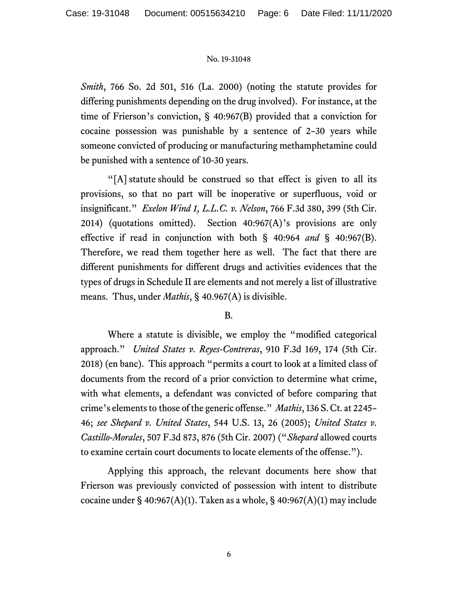*Smith*, 766 So. 2d 501, 516 (La. 2000) (noting the statute provides for differing punishments depending on the drug involved). For instance, at the time of Frierson's conviction, § 40:967(B) provided that a conviction for cocaine possession was punishable by a sentence of 2–30 years while someone convicted of producing or manufacturing methamphetamine could be punished with a sentence of 10-30 years.

"[A] statute should be construed so that effect is given to all its provisions, so that no part will be inoperative or superfluous, void or insignificant." *Exelon Wind 1, L.L.C. v. Nelson*, 766 F.3d 380, 399 (5th Cir. 2014) (quotations omitted). Section  $40:967(A)$ 's provisions are only effective if read in conjunction with both § 40:964 *and* § 40:967(B). Therefore, we read them together here as well. The fact that there are different punishments for different drugs and activities evidences that the types of drugs in Schedule II are elements and not merely a list of illustrative means. Thus, under *Mathis*, § 40.967(A) is divisible.

## B.

Where a statute is divisible, we employ the "modified categorical approach." *United States v. Reyes-Contreras*, 910 F.3d 169, 174 (5th Cir. 2018) (en banc). This approach "permits a court to look at a limited class of documents from the record of a prior conviction to determine what crime, with what elements, a defendant was convicted of before comparing that crime's elements to those of the generic offense." *Mathis*, 136 S. Ct. at 2245– 46; *see Shepard v. United States*, 544 U.S. 13, 26 (2005); *United States v. Castillo-Morales*, 507 F.3d 873, 876 (5th Cir. 2007) ("*Shepard* allowed courts to examine certain court documents to locate elements of the offense.").

Applying this approach, the relevant documents here show that Frierson was previously convicted of possession with intent to distribute cocaine under  $\S$  40:967(A)(1). Taken as a whole,  $\S$  40:967(A)(1) may include